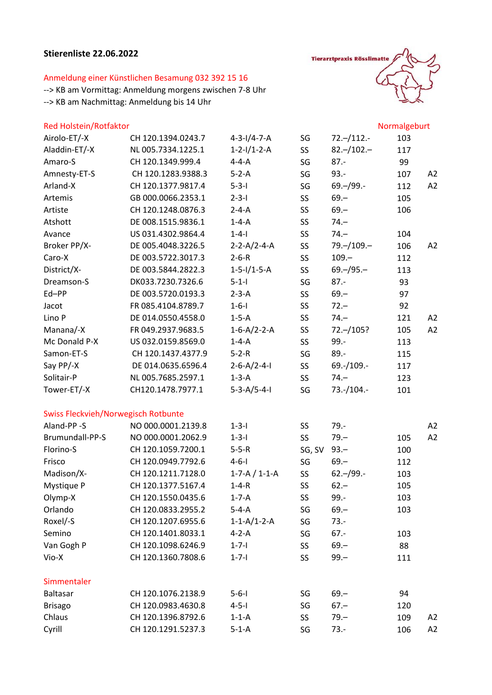## Stierenliste 22.06.2022

## Anmeldung einer Künstlichen Besamung 032 392 15 16

--> KB am Vormittag: Anmeldung morgens zwischen 7-8 Uhr --> KB am Nachmittag: Anmeldung bis 14 Uhr

## **Rod Holstoin** (Botfoktor



| <b>Red Holstein/Rotfaktor</b>              |                    |                         |        |                 | Normalgeburt |                |
|--------------------------------------------|--------------------|-------------------------|--------|-----------------|--------------|----------------|
| Airolo-ET/-X                               | CH 120.1394.0243.7 | $4 - 3 - 1/4 - 7 - A$   | SG     | $72. - 112. -$  | 103          |                |
| Aladdin-ET/-X                              | NL 005.7334.1225.1 | $1-2-1/1-2-A$           | SS     | $82 - 102 -$    | 117          |                |
| Amaro-S                                    | CH 120.1349.999.4  | $4 - 4 - A$             | SG     | $87 -$          | 99           |                |
| Amnesty-ET-S                               | CH 120.1283.9388.3 | $5-2-A$                 | SG     | $93. -$         | 107          | A2             |
| Arland-X                                   | CH 120.1377.9817.4 | $5 - 3 - 1$             | SG     | $69. - / 99. -$ | 112          | A2             |
| Artemis                                    | GB 000.0066.2353.1 | $2 - 3 - 1$             | SS     | $69 -$          | 105          |                |
| Artiste                                    | CH 120.1248.0876.3 | $2 - 4 - A$             | SS     | $69 -$          | 106          |                |
| Atshott                                    | DE 008.1515.9836.1 | $1 - 4 - A$             | SS     | $74 -$          |              |                |
| Avance                                     | US 031.4302.9864.4 | $1 - 4 - 1$             | SS     | $74 -$          | 104          |                |
| Broker PP/X-                               | DE 005.4048.3226.5 | $2 - 2 - A/2 - 4 - A$   | SS     | 79. - / 109. -  | 106          | A2             |
| Caro-X                                     | DE 003.5722.3017.3 | $2 - 6 - R$             | SS     | $109 -$         | 112          |                |
| District/X-                                | DE 003.5844.2822.3 | $1 - 5 - 1/1 - 5 - A$   | SS     | $69 - 95 -$     | 113          |                |
| Dreamson-S                                 | DK033.7230.7326.6  | $5 - 1 - 1$             | SG     | $87 -$          | 93           |                |
| Ed-PP                                      | DE 003.5720.0193.3 | $2-3-A$                 | SS     | $69 -$          | 97           |                |
| Jacot                                      | FR 085.4104.8789.7 | $1 - 6 - 1$             | SS     | $72 -$          | 92           |                |
| Lino P                                     | DE 014.0550.4558.0 | $1-5-A$                 | SS     | $74 -$          | 121          | A2             |
| Manana/-X                                  | FR 049.2937.9683.5 | $1 - 6 - A/2 - 2 - A$   | SS     | $72 - 105?$     | 105          | A2             |
| Mc Donald P-X                              | US 032.0159.8569.0 | $1 - 4 - A$             | SS     | 99.-            | 113          |                |
| Samon-ET-S                                 | CH 120.1437.4377.9 | $5 - 2 - R$             | SG     | $89. -$         | 115          |                |
| Say PP/-X                                  | DE 014.0635.6596.4 | $2-6-A/2-4-I$           | SS     | 69.-/109.-      | 117          |                |
| Solitair-P                                 | NL 005.7685.2597.1 | $1-3-A$                 | SS     | $74 -$          | 123          |                |
| Tower-ET/-X                                | CH120.1478.7977.1  | $5 - 3 - A / 5 - 4 - I$ | SG     | 73.-/104.-      | 101          |                |
| <b>Swiss Fleckvieh/Norwegisch Rotbunte</b> |                    |                         |        |                 |              |                |
| Aland-PP-S                                 | NO 000.0001.2139.8 | $1 - 3 - 1$             | SS     | $79. -$         |              | A2             |
| Brumundall-PP-S                            | NO 000.0001.2062.9 | $1 - 3 - 1$             | SS     | $79 -$          | 105          | A2             |
| Florino-S                                  | CH 120.1059.7200.1 | $5 - 5 - R$             | SG, SV | $93 -$          | 100          |                |
| Frisco                                     | CH 120.0949.7792.6 | $4 - 6 - 1$             | SG     | $69 -$          | 112          |                |
| Madison/X-                                 | CH 120.1211.7128.0 | $1-7-A / 1-1-A$         | SS     | $62 - 99. -$    | 103          |                |
| Mystique P                                 | CH 120.1377.5167.4 | $1 - 4 - R$             | SS     | $62 -$          | 105          |                |
| Olymp-X                                    | CH 120.1550.0435.6 | $1-7-A$                 | SS     | $99. -$         | 103          |                |
| Orlando                                    | CH 120.0833.2955.2 | $5-4-A$                 | SG     | $69 -$          | 103          |                |
| Roxel/-S                                   | CH 120.1207.6955.6 | $1 - 1 - A/1 - 2 - A$   | SG     | $73. -$         |              |                |
| Semino                                     | CH 120.1401.8033.1 | $4-2-A$                 | SG     | $67. -$         | 103          |                |
| Van Gogh P                                 | CH 120.1098.6246.9 | $1 - 7 - 1$             | SS     | $69 -$          | 88           |                |
| Vio-X                                      | CH 120.1360.7808.6 | $1 - 7 - 1$             | SS     | $99 -$          | 111          |                |
| Simmentaler                                |                    |                         |        |                 |              |                |
| <b>Baltasar</b>                            | CH 120.1076.2138.9 | $5 - 6 - 1$             | SG     | $69 -$          | 94           |                |
| <b>Brisago</b>                             | CH 120.0983.4630.8 | $4 - 5 - 1$             | SG     | $67 -$          | 120          |                |
| Chlaus                                     | CH 120.1396.8792.6 | $1-1-A$                 | SS     | $79 -$          | 109          | A <sub>2</sub> |
| Cyrill                                     | CH 120.1291.5237.3 | $5-1-A$                 | SG     | $73. -$         | 106          | A2             |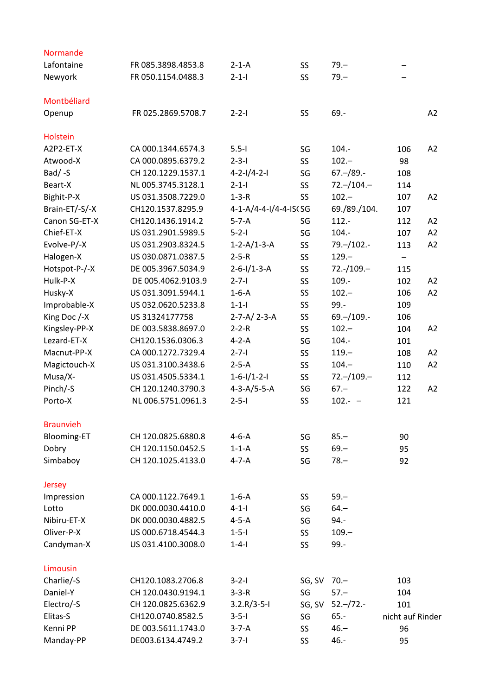| Normande               |                    |                         |             |                     |                   |    |
|------------------------|--------------------|-------------------------|-------------|---------------------|-------------------|----|
| Lafontaine             | FR 085.3898.4853.8 | $2-1-A$                 | SS          | $79 -$              |                   |    |
| Newyork                | FR 050.1154.0488.3 | $2 - 1 - 1$             | SS          | $79 -$              |                   |    |
| Montbéliard            |                    |                         |             |                     |                   |    |
| Openup                 | FR 025.2869.5708.7 | $2 - 2 - 1$             | SS          | $69. -$             |                   | A2 |
|                        |                    |                         |             |                     |                   |    |
| Holstein<br>A2P2-ET-X  | CA 000.1344.6574.3 | $5.5 - 1$               |             | $104. -$            |                   | A2 |
|                        | CA 000.0895.6379.2 | $2 - 3 - 1$             | SG          | $102 -$             | 106<br>98         |    |
| Atwood-X<br>$Bad / -S$ | CH 120.1229.1537.1 | $4 - 2 - 1/4 - 2 - 1$   | SS<br>SG    | $67 - 89. -$        | 108               |    |
| Beart-X                | NL 005.3745.3128.1 | $2 - 1 - 1$             |             | $72 - 104 -$        |                   |    |
|                        |                    |                         | SS          | $102 -$             | 114               |    |
| Bighit-P-X             | US 031.3508.7229.0 | $1-3-R$                 | SS          |                     | 107               | A2 |
| Brain-ET/-S/-X         | CH120.1537.8295.9  | 4-1-A/4-4-I/4-4-ISCSG   |             | 69./89./104.        | 107               |    |
| Canon SG-ET-X          | CH120.1436.1914.2  | $5-7-A$                 | SG          | $112. -$            | 112               | A2 |
| Chief-ET-X             | US 031.2901.5989.5 | $5 - 2 - 1$             | SG          | $104. -$            | 107               | A2 |
| Evolve-P/-X            | US 031.2903.8324.5 | $1 - 2 - A/1 - 3 - A$   | SS          | $79. - 102. -$      | 113               | A2 |
| Halogen-X              | US 030.0871.0387.5 | $2 - 5 - R$             | <b>SS</b>   | $129 -$             | $\qquad \qquad -$ |    |
| Hotspot-P-/-X          | DE 005.3967.5034.9 | $2-6-1/1-3-A$           | SS          | $72.-/109.-$        | 115               |    |
| Hulk-P-X               | DE 005.4062.9103.9 | $2 - 7 - 1$             | SS          | 109.-               | 102               | A2 |
| Husky-X                | US 031.3091.5944.1 | $1-6-A$                 | SS          | $102 -$             | 106               | A2 |
| Improbable-X           | US 032.0620.5233.8 | $1 - 1 - 1$             | SS          | $99 -$              | 109               |    |
| King Doc /-X           | US 31324177758     | $2 - 7 - A / 2 - 3 - A$ | <b>SS</b>   | $69. - 109. -$      | 106               |    |
| Kingsley-PP-X          | DE 003.5838.8697.0 | $2 - 2 - R$             | SS          | $102 -$             | 104               | A2 |
| Lezard-ET-X            | CH120.1536.0306.3  | $4-2-A$                 | SG          | $104. -$            | 101               |    |
| Macnut-PP-X            | CA 000.1272.7329.4 | $2 - 7 - 1$             | <b>SS</b>   | $119 -$             | 108               | A2 |
| Magictouch-X           | US 031.3100.3438.6 | $2-5-A$                 | SS          | $104 -$             | 110               | A2 |
| Musa/X-                | US 031.4505.5334.1 | $1-6-1/1-2-1$           | SS          | $72 - 109 -$        | 112               |    |
| Pinch/-S               | CH 120.1240.3790.3 | $4 - 3 - A/5 - 5 - A$   | SG          | $67 -$              | 122               | A2 |
| Porto-X                | NL 006.5751.0961.3 | $2 - 5 - 1$             | SS          | $102.-$             | 121               |    |
| <b>Braunvieh</b>       |                    |                         |             |                     |                   |    |
| <b>Blooming-ET</b>     | CH 120.0825.6880.8 | $4-6-A$                 | SG          | $85 -$              | 90                |    |
| Dobry                  | CH 120.1150.0452.5 | $1-1-A$                 | SS          | $69 -$              | 95                |    |
| Simbaboy               | CH 120.1025.4133.0 | $4 - 7 - A$             | SG          | $78 -$              | 92                |    |
| Jersey                 |                    |                         |             |                     |                   |    |
| Impression             | CA 000.1122.7649.1 | $1-6-A$                 | SS          | $59 -$              |                   |    |
| Lotto                  | DK 000.0030.4410.0 | $4 - 1 - 1$             | SG          | $64 -$              |                   |    |
| Nibiru-ET-X            | DK 000.0030.4882.5 | $4-5-A$                 | SG          | $94. -$             |                   |    |
| Oliver-P-X             | US 000.6718.4544.3 | $1 - 5 - 1$             | SS          | $109 -$             |                   |    |
| Candyman-X             | US 031.4100.3008.0 | $1 - 4 - 1$             | SS          | $99 -$              |                   |    |
|                        |                    |                         |             |                     |                   |    |
| Limousin               |                    |                         |             |                     |                   |    |
| Charlie/-S             | CH120.1083.2706.8  | $3 - 2 - 1$             | SG, SV 70.- |                     | 103               |    |
| Daniel-Y               | CH 120.0430.9194.1 | $3 - 3 - R$             | SG          | $57 -$              | 104               |    |
| Electro/-S             | CH 120.0825.6362.9 | $3.2.R/3-5-I$           |             | SG, SV 52 .- /72 .- | 101               |    |
| Elitas-S               | CH120.0740.8582.5  | $3 - 5 - 1$             | SG          | $65. -$             | nicht auf Rinder  |    |
| Kenni PP               | DE 003.5611.1743.0 | $3-7-A$                 | <b>SS</b>   | $46 -$              | 96                |    |
| Manday-PP              | DE003.6134.4749.2  | $3 - 7 - 1$             | SS          | 46.-                | 95                |    |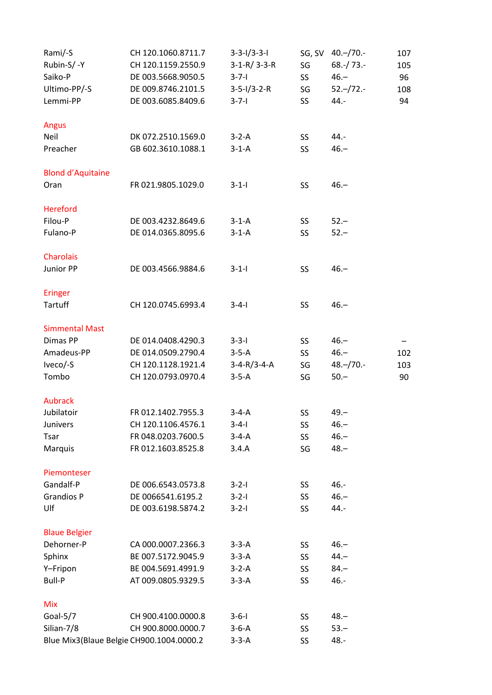| Rami/-S                  | CH 120.1060.8711.7                       | $3-3-1/3-3-1$         |     | SG, SV 40 .- / 70 .- | 107 |
|--------------------------|------------------------------------------|-----------------------|-----|----------------------|-----|
| Rubin-S/-Y               | CH 120.1159.2550.9                       | $3-1-R/3-3-R$         | SG  | $68.-/73.-$          | 105 |
| Saiko-P                  | DE 003.5668.9050.5                       | $3 - 7 - 1$           | SS. | $46 -$               | 96  |
| Ultimo-PP/-S             | DE 009.8746.2101.5                       | $3 - 5 - 1/3 - 2 - R$ | SG  | $52 - 72 -$          | 108 |
| Lemmi-PP                 | DE 003.6085.8409.6                       | $3 - 7 - 1$           | SS  | 44.-                 | 94  |
|                          |                                          |                       |     |                      |     |
| Angus                    |                                          |                       |     |                      |     |
| Neil                     | DK 072.2510.1569.0                       | $3-2-A$               | SS  | 44.-                 |     |
| Preacher                 | GB 602.3610.1088.1                       | $3-1-A$               | SS. | $46 -$               |     |
|                          |                                          |                       |     |                      |     |
| <b>Blond d'Aquitaine</b> |                                          |                       |     |                      |     |
| Oran                     | FR 021.9805.1029.0                       | $3 - 1 - 1$           | SS  | $46 -$               |     |
|                          |                                          |                       |     |                      |     |
| Hereford                 |                                          |                       |     |                      |     |
| Filou-P                  | DE 003.4232.8649.6                       | $3-1-A$               | SS  | $52 -$               |     |
| Fulano-P                 | DE 014.0365.8095.6                       | $3-1-A$               | SS. | $52 -$               |     |
|                          |                                          |                       |     |                      |     |
| Charolais                |                                          |                       |     |                      |     |
| Junior PP                | DE 003.4566.9884.6                       | $3 - 1 - 1$           | SS  | $46 -$               |     |
|                          |                                          |                       |     |                      |     |
| Eringer                  |                                          |                       |     |                      |     |
| Tartuff                  | CH 120.0745.6993.4                       | $3 - 4 - 1$           | SS  | $46 -$               |     |
|                          |                                          |                       |     |                      |     |
| <b>Simmental Mast</b>    |                                          |                       |     |                      |     |
| Dimas PP                 | DE 014.0408.4290.3                       | $3 - 3 - 1$           | SS  | $46 -$               |     |
| Amadeus-PP               | DE 014.0509.2790.4                       | $3-5-A$               | SS  | $46. -$              | 102 |
| Iveco/-S                 | CH 120.1128.1921.4                       | $3-4-R/3-4-A$         | SG  | $48 - 70 -$          | 103 |
| Tombo                    | CH 120.0793.0970.4                       | $3-5-A$               | SG  | $50 -$               | 90  |
|                          |                                          |                       |     |                      |     |
| Aubrack                  |                                          |                       |     |                      |     |
| Jubilatoir               | FR 012.1402.7955.3                       | $3-4-A$               | SS  | $49 -$               |     |
| Junivers                 | CH 120.1106.4576.1                       | $3 - 4 - 1$           | SS  | $46 -$               |     |
| Tsar                     | FR 048.0203.7600.5                       | $3-4-A$               | SS  | $46. -$              |     |
| Marquis                  | FR 012.1603.8525.8                       | 3.4.A                 | SG  | $48 -$               |     |
|                          |                                          |                       |     |                      |     |
| Piemonteser              |                                          |                       |     |                      |     |
| Gandalf-P                | DE 006.6543.0573.8                       | $3 - 2 - 1$           | SS. | 46.-                 |     |
| <b>Grandios P</b>        | DE 0066541.6195.2                        | $3 - 2 - 1$           | SS  | $46. -$              |     |
| Ulf                      | DE 003.6198.5874.2                       | $3 - 2 - 1$           | SS. | 44.-                 |     |
|                          |                                          |                       |     |                      |     |
| <b>Blaue Belgier</b>     |                                          |                       |     |                      |     |
| Dehorner-P               | CA 000.0007.2366.3                       | $3-3-A$               | SS  | $46 -$               |     |
| Sphinx                   | BE 007.5172.9045.9                       | $3-3-A$               | SS  | $44 -$               |     |
| Y-Fripon                 | BE 004.5691.4991.9                       | $3-2-A$               | SS  | $84 -$               |     |
| Bull-P                   | AT 009.0805.9329.5                       | $3-3-A$               | SS  | 46.-                 |     |
|                          |                                          |                       |     |                      |     |
| <b>Mix</b>               |                                          |                       |     |                      |     |
| Goal-5/7                 | CH 900.4100.0000.8                       | $3 - 6 - 1$           | SS  | $48 -$               |     |
| Silian-7/8               | CH 900.8000.0000.7                       | $3-6-A$               | SS  | $53 -$               |     |
|                          | Blue Mix3(Blaue Belgie CH900.1004.0000.2 | $3-3-A$               | SS  | 48.-                 |     |
|                          |                                          |                       |     |                      |     |